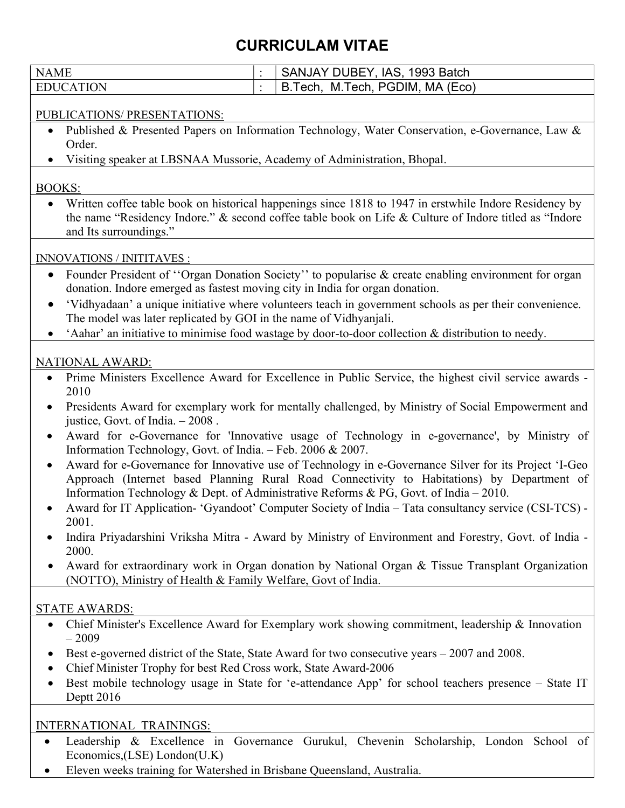## CURRICULAM VITAE

| <b>NAME</b>                                                                                                                                                                                                                                                                                               | SANJAY DUBEY, IAS, 1993 Batch<br>$\ddot{\cdot}$                                                                                                                                                                 |
|-----------------------------------------------------------------------------------------------------------------------------------------------------------------------------------------------------------------------------------------------------------------------------------------------------------|-----------------------------------------------------------------------------------------------------------------------------------------------------------------------------------------------------------------|
| <b>EDUCATION</b>                                                                                                                                                                                                                                                                                          | B.Tech, M.Tech, PGDIM, MA (Eco)<br>$\ddot{\cdot}$                                                                                                                                                               |
| PUBLICATIONS/ PRESENTATIONS:                                                                                                                                                                                                                                                                              |                                                                                                                                                                                                                 |
| Published & Presented Papers on Information Technology, Water Conservation, e-Governance, Law &<br>Order.<br>Visiting speaker at LBSNAA Mussorie, Academy of Administration, Bhopal.                                                                                                                      |                                                                                                                                                                                                                 |
|                                                                                                                                                                                                                                                                                                           |                                                                                                                                                                                                                 |
| <b>BOOKS:</b>                                                                                                                                                                                                                                                                                             |                                                                                                                                                                                                                 |
| and Its surroundings."                                                                                                                                                                                                                                                                                    | Written coffee table book on historical happenings since 1818 to 1947 in erstwhile Indore Residency by<br>the name "Residency Indore." & second coffee table book on Life & Culture of Indore titled as "Indore |
| <b>INNOVATIONS / INITITAVES :</b>                                                                                                                                                                                                                                                                         |                                                                                                                                                                                                                 |
| $\bullet$<br>donation. Indore emerged as fastest moving city in India for organ donation.                                                                                                                                                                                                                 | Founder President of "Organ Donation Society" to popularise & create enabling environment for organ                                                                                                             |
| 'Vidhyadaan' a unique initiative where volunteers teach in government schools as per their convenience.<br>$\bullet$<br>The model was later replicated by GOI in the name of Vidhyanjali.                                                                                                                 |                                                                                                                                                                                                                 |
|                                                                                                                                                                                                                                                                                                           | 'Aahar' an initiative to minimise food wastage by door-to-door collection & distribution to needy.                                                                                                              |
| <b>NATIONAL AWARD:</b>                                                                                                                                                                                                                                                                                    |                                                                                                                                                                                                                 |
| Prime Ministers Excellence Award for Excellence in Public Service, the highest civil service awards -<br>$\bullet$<br>2010                                                                                                                                                                                |                                                                                                                                                                                                                 |
| Presidents Award for exemplary work for mentally challenged, by Ministry of Social Empowerment and<br>$\bullet$<br>justice, Govt. of India. $-2008$ .                                                                                                                                                     |                                                                                                                                                                                                                 |
| Award for e-Governance for 'Innovative usage of Technology in e-governance', by Ministry of<br>$\bullet$<br>Information Technology, Govt. of India. - Feb. 2006 & 2007.                                                                                                                                   |                                                                                                                                                                                                                 |
| Award for e-Governance for Innovative use of Technology in e-Governance Silver for its Project 'I-Geo<br>$\bullet$<br>Approach (Internet based Planning Rural Road Connectivity to Habitations) by Department of<br>Information Technology & Dept. of Administrative Reforms & PG, Govt. of India - 2010. |                                                                                                                                                                                                                 |
| 2001.                                                                                                                                                                                                                                                                                                     | Award for IT Application- 'Gyandoot' Computer Society of India - Tata consultancy service (CSI-TCS) -                                                                                                           |
| 2000.                                                                                                                                                                                                                                                                                                     | Indira Priyadarshini Vriksha Mitra - Award by Ministry of Environment and Forestry, Govt. of India -                                                                                                            |
| (NOTTO), Ministry of Health & Family Welfare, Govt of India.                                                                                                                                                                                                                                              | Award for extraordinary work in Organ donation by National Organ & Tissue Transplant Organization                                                                                                               |
| <b>STATE AWARDS:</b>                                                                                                                                                                                                                                                                                      |                                                                                                                                                                                                                 |
| $-2009$                                                                                                                                                                                                                                                                                                   | Chief Minister's Excellence Award for Exemplary work showing commitment, leadership & Innovation                                                                                                                |
| Best e-governed district of the State, State Award for two consecutive years – 2007 and 2008.<br>Chief Minister Trophy for best Red Cross work, State Award-2006                                                                                                                                          |                                                                                                                                                                                                                 |
| $\bullet$<br>Deptt 2016                                                                                                                                                                                                                                                                                   | Best mobile technology usage in State for 'e-attendance App' for school teachers presence - State IT                                                                                                            |
| <b>INTERNATIONAL TRAININGS:</b>                                                                                                                                                                                                                                                                           |                                                                                                                                                                                                                 |

 Leadership & Excellence in Governance Gurukul, Chevenin Scholarship, London School of Economics,(LSE) London(U.K)

Eleven weeks training for Watershed in Brisbane Queensland, Australia.